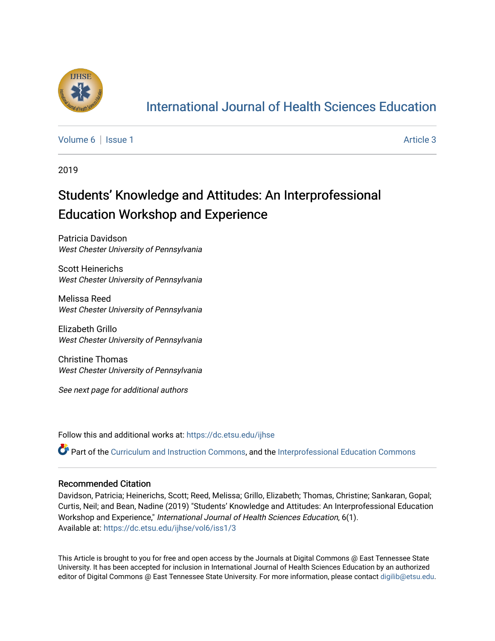

## [International Journal of Health Sciences Education](https://dc.etsu.edu/ijhse)

[Volume 6](https://dc.etsu.edu/ijhse/vol6) | [Issue 1](https://dc.etsu.edu/ijhse/vol6/iss1) Article 3

2019

# Students' Knowledge and Attitudes: An Interprofessional Education Workshop and Experience

Patricia Davidson West Chester University of Pennsylvania

Scott Heinerichs West Chester University of Pennsylvania

Melissa Reed West Chester University of Pennsylvania

Elizabeth Grillo West Chester University of Pennsylvania

Christine Thomas West Chester University of Pennsylvania

See next page for additional authors

Follow this and additional works at: [https://dc.etsu.edu/ijhse](https://dc.etsu.edu/ijhse?utm_source=dc.etsu.edu%2Fijhse%2Fvol6%2Fiss1%2F3&utm_medium=PDF&utm_campaign=PDFCoverPages) 

Part of the [Curriculum and Instruction Commons,](http://network.bepress.com/hgg/discipline/786?utm_source=dc.etsu.edu%2Fijhse%2Fvol6%2Fiss1%2F3&utm_medium=PDF&utm_campaign=PDFCoverPages) and the [Interprofessional Education Commons](http://network.bepress.com/hgg/discipline/1372?utm_source=dc.etsu.edu%2Fijhse%2Fvol6%2Fiss1%2F3&utm_medium=PDF&utm_campaign=PDFCoverPages)

#### Recommended Citation

Davidson, Patricia; Heinerichs, Scott; Reed, Melissa; Grillo, Elizabeth; Thomas, Christine; Sankaran, Gopal; Curtis, Neil; and Bean, Nadine (2019) "Students' Knowledge and Attitudes: An Interprofessional Education Workshop and Experience," International Journal of Health Sciences Education, 6(1). Available at: [https://dc.etsu.edu/ijhse/vol6/iss1/3](https://dc.etsu.edu/ijhse/vol6/iss1/3?utm_source=dc.etsu.edu%2Fijhse%2Fvol6%2Fiss1%2F3&utm_medium=PDF&utm_campaign=PDFCoverPages)

This Article is brought to you for free and open access by the Journals at Digital Commons @ East Tennessee State University. It has been accepted for inclusion in International Journal of Health Sciences Education by an authorized editor of Digital Commons @ East Tennessee State University. For more information, please contact [digilib@etsu.edu](mailto:digilib@etsu.edu).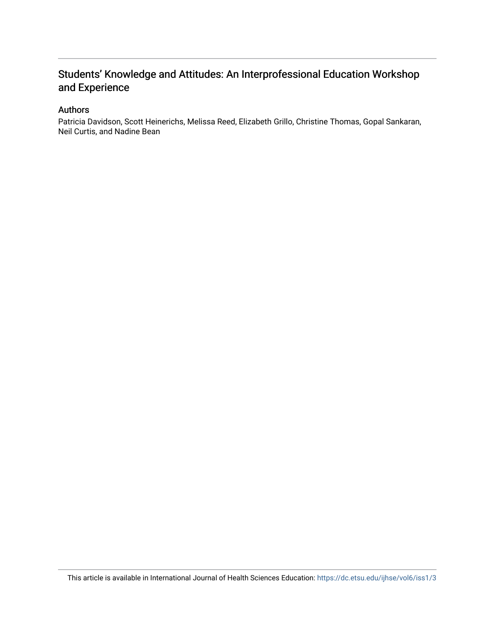### Students' Knowledge and Attitudes: An Interprofessional Education Workshop and Experience

#### Authors

Patricia Davidson, Scott Heinerichs, Melissa Reed, Elizabeth Grillo, Christine Thomas, Gopal Sankaran, Neil Curtis, and Nadine Bean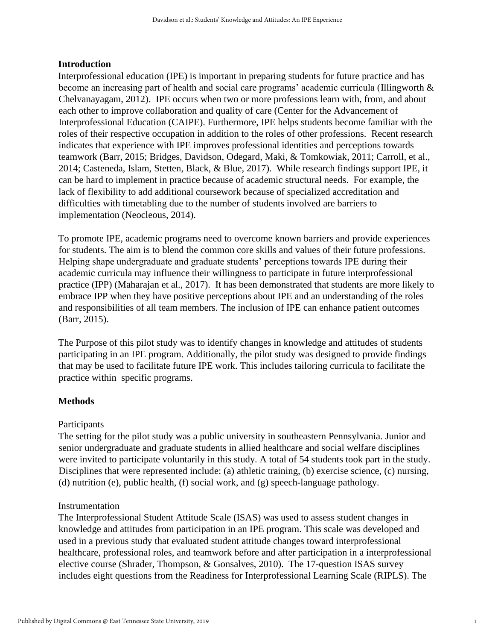#### **Introduction**

Interprofessional education (IPE) is important in preparing students for future practice and has become an increasing part of health and social care programs' academic curricula (Illingworth & Chelvanayagam, 2012). IPE occurs when two or more professions learn with, from, and about each other to improve collaboration and quality of care (Center for the Advancement of Interprofessional Education (CAIPE). Furthermore, IPE helps students become familiar with the roles of their respective occupation in addition to the roles of other professions. Recent research indicates that experience with IPE improves professional identities and perceptions towards teamwork (Barr, 2015; Bridges, Davidson, Odegard, Maki, & Tomkowiak, 2011; Carroll, et al., 2014; Casteneda, Islam, Stetten, Black, & Blue, 2017). While research findings support IPE, it can be hard to implement in practice because of academic structural needs. For example, the lack of flexibility to add additional coursework because of specialized accreditation and difficulties with timetabling due to the number of students involved are barriers to implementation (Neocleous, 2014).

To promote IPE, academic programs need to overcome known barriers and provide experiences for students. The aim is to blend the common core skills and values of their future professions. Helping shape undergraduate and graduate students' perceptions towards IPE during their academic curricula may influence their willingness to participate in future interprofessional practice (IPP) (Maharajan et al., 2017). It has been demonstrated that students are more likely to embrace IPP when they have positive perceptions about IPE and an understanding of the roles and responsibilities of all team members. The inclusion of IPE can enhance patient outcomes (Barr, 2015).

The Purpose of this pilot study was to identify changes in knowledge and attitudes of students participating in an IPE program. Additionally, the pilot study was designed to provide findings that may be used to facilitate future IPE work. This includes tailoring curricula to facilitate the practice within specific programs.

#### **Methods**

#### Participants

The setting for the pilot study was a public university in southeastern Pennsylvania. Junior and senior undergraduate and graduate students in allied healthcare and social welfare disciplines were invited to participate voluntarily in this study. A total of 54 students took part in the study. Disciplines that were represented include: (a) athletic training, (b) exercise science, (c) nursing, (d) nutrition (e), public health, (f) social work, and (g) speech-language pathology.

#### Instrumentation

The Interprofessional Student Attitude Scale (ISAS) was used to assess student changes in knowledge and attitudes from participation in an IPE program. This scale was developed and used in a previous study that evaluated student attitude changes toward interprofessional healthcare, professional roles, and teamwork before and after participation in a interprofessional elective course (Shrader, Thompson, & Gonsalves, 2010). The 17-question ISAS survey includes eight questions from the Readiness for Interprofessional Learning Scale (RIPLS). The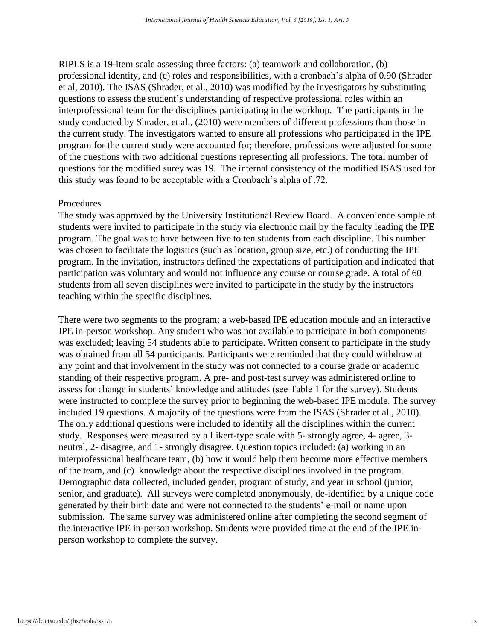RIPLS is a 19-item scale assessing three factors: (a) teamwork and collaboration, (b) professional identity, and (c) roles and responsibilities, with a cronbach's alpha of 0.90 (Shrader et al, 2010). The ISAS (Shrader, et al., 2010) was modified by the investigators by substituting questions to assess the student's understanding of respective professional roles within an interprofessional team for the disciplines participating in the workhop. The participants in the study conducted by Shrader, et al., (2010) were members of different professions than those in the current study. The investigators wanted to ensure all professions who participated in the IPE program for the current study were accounted for; therefore, professions were adjusted for some of the questions with two additional questions representing all professions. The total number of questions for the modified surey was 19. The internal consistency of the modified ISAS used for this study was found to be acceptable with a Cronbach's alpha of .72.

#### Procedures

The study was approved by the University Institutional Review Board. A convenience sample of students were invited to participate in the study via electronic mail by the faculty leading the IPE program. The goal was to have between five to ten students from each discipline. This number was chosen to facilitate the logistics (such as location, group size, etc.) of conducting the IPE program. In the invitation, instructors defined the expectations of participation and indicated that participation was voluntary and would not influence any course or course grade. A total of 60 students from all seven disciplines were invited to participate in the study by the instructors teaching within the specific disciplines.

There were two segments to the program; a web-based IPE education module and an interactive IPE in-person workshop. Any student who was not available to participate in both components was excluded; leaving 54 students able to participate. Written consent to participate in the study was obtained from all 54 participants. Participants were reminded that they could withdraw at any point and that involvement in the study was not connected to a course grade or academic standing of their respective program. A pre- and post-test survey was administered online to assess for change in students' knowledge and attitudes (see Table 1 for the survey). Students were instructed to complete the survey prior to beginning the web-based IPE module. The survey included 19 questions. A majority of the questions were from the ISAS (Shrader et al., 2010). The only additional questions were included to identify all the disciplines within the current study. Responses were measured by a Likert-type scale with 5- strongly agree, 4- agree, 3 neutral, 2- disagree, and 1- strongly disagree. Question topics included: (a) working in an interprofessional healthcare team, (b) how it would help them become more effective members of the team, and (c) knowledge about the respective disciplines involved in the program. Demographic data collected, included gender, program of study, and year in school (junior, senior, and graduate). All surveys were completed anonymously, de-identified by a unique code generated by their birth date and were not connected to the students' e-mail or name upon submission. The same survey was administered online after completing the second segment of the interactive IPE in-person workshop. Students were provided time at the end of the IPE inperson workshop to complete the survey.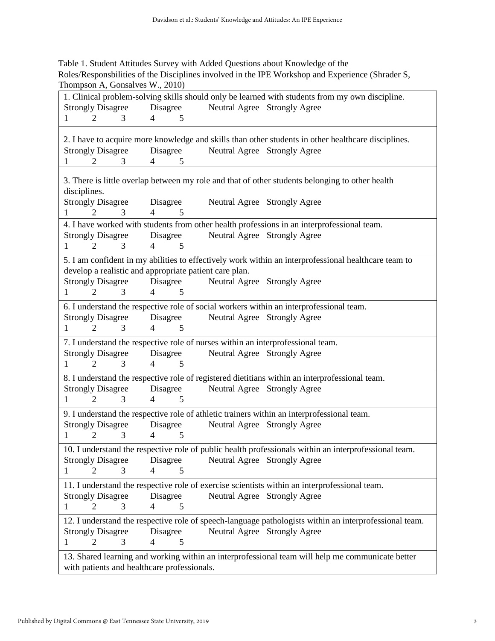| Table 1. Student Attitudes Survey with Added Questions about Knowledge of the                    |
|--------------------------------------------------------------------------------------------------|
| Roles/Responsbilities of the Disciplines involved in the IPE Workshop and Experience (Shrader S, |
| Thompson A, Gonsalves W., 2010)                                                                  |

| 1. Clinical problem-solving skills should only be learned with students from my own discipline.                 |                     |                              |                                                                                                                                     |  |  |  |  |  |
|-----------------------------------------------------------------------------------------------------------------|---------------------|------------------------------|-------------------------------------------------------------------------------------------------------------------------------------|--|--|--|--|--|
| Neutral Agree Strongly Agree<br><b>Strongly Disagree</b><br>Disagree                                            |                     |                              |                                                                                                                                     |  |  |  |  |  |
| $\overline{2}$<br>3<br>1                                                                                        | 5<br>4              |                              |                                                                                                                                     |  |  |  |  |  |
| <b>Strongly Disagree</b><br>2<br>3<br>1                                                                         | Disagree<br>5<br>4  |                              | 2. I have to acquire more knowledge and skills than other students in other healthcare disciplines.<br>Neutral Agree Strongly Agree |  |  |  |  |  |
| 3. There is little overlap between my role and that of other students belonging to other health<br>disciplines. |                     |                              |                                                                                                                                     |  |  |  |  |  |
| <b>Strongly Disagree</b>                                                                                        | Disagree            |                              | Neutral Agree Strongly Agree                                                                                                        |  |  |  |  |  |
| 3<br>2                                                                                                          | $\overline{4}$<br>5 |                              |                                                                                                                                     |  |  |  |  |  |
|                                                                                                                 |                     |                              | 4. I have worked with students from other health professions in an interprofessional team.                                          |  |  |  |  |  |
| <b>Strongly Disagree</b>                                                                                        | Disagree            |                              | Neutral Agree Strongly Agree                                                                                                        |  |  |  |  |  |
| 2<br>3                                                                                                          | 4<br>5              |                              |                                                                                                                                     |  |  |  |  |  |
|                                                                                                                 |                     |                              | 5. I am confident in my abilities to effectively work within an interprofessional healthcare team to                                |  |  |  |  |  |
| develop a realistic and appropriate patient care plan.                                                          |                     |                              |                                                                                                                                     |  |  |  |  |  |
| <b>Strongly Disagree</b>                                                                                        | Disagree            | Neutral Agree Strongly Agree |                                                                                                                                     |  |  |  |  |  |
| $\overline{2}$<br>3<br>1                                                                                        | 5<br>$\overline{4}$ |                              |                                                                                                                                     |  |  |  |  |  |
|                                                                                                                 |                     |                              | 6. I understand the respective role of social workers within an interprofessional team.                                             |  |  |  |  |  |
| <b>Strongly Disagree</b>                                                                                        | Disagree            |                              | Neutral Agree Strongly Agree                                                                                                        |  |  |  |  |  |
| $\mathcal{D}_{\cdot}$<br>3                                                                                      | $\overline{4}$<br>5 |                              |                                                                                                                                     |  |  |  |  |  |
| 7. I understand the respective role of nurses within an interprofessional team.                                 |                     |                              |                                                                                                                                     |  |  |  |  |  |
| <b>Strongly Disagree</b>                                                                                        | Disagree            |                              | Neutral Agree Strongly Agree                                                                                                        |  |  |  |  |  |
| 2<br>1<br>3                                                                                                     | $\overline{4}$<br>5 |                              |                                                                                                                                     |  |  |  |  |  |
|                                                                                                                 |                     |                              | 8. I understand the respective role of registered dietitians within an interprofessional team.                                      |  |  |  |  |  |
| <b>Strongly Disagree</b>                                                                                        | Disagree            |                              | Neutral Agree Strongly Agree                                                                                                        |  |  |  |  |  |
| 2<br>3                                                                                                          | 5<br>4              |                              |                                                                                                                                     |  |  |  |  |  |
|                                                                                                                 |                     |                              |                                                                                                                                     |  |  |  |  |  |
|                                                                                                                 |                     |                              | 9. I understand the respective role of athletic trainers within an interprofessional team.                                          |  |  |  |  |  |
| <b>Strongly Disagree</b><br>3                                                                                   | Disagree<br>4<br>5  |                              | Neutral Agree Strongly Agree                                                                                                        |  |  |  |  |  |
|                                                                                                                 |                     |                              |                                                                                                                                     |  |  |  |  |  |
|                                                                                                                 |                     |                              | 10. I understand the respective role of public health professionals within an interprofessional team.                               |  |  |  |  |  |
| <b>Strongly Disagree</b>                                                                                        | Disagree            |                              | Neutral Agree Strongly Agree                                                                                                        |  |  |  |  |  |
| $\overline{2}$<br>3                                                                                             | $\overline{4}$<br>5 |                              |                                                                                                                                     |  |  |  |  |  |
| 11. I understand the respective role of exercise scientists within an interprofessional team.                   |                     |                              |                                                                                                                                     |  |  |  |  |  |
| <b>Strongly Disagree</b>                                                                                        | Disagree            |                              | Neutral Agree Strongly Agree                                                                                                        |  |  |  |  |  |
| 2<br>3<br>1                                                                                                     | 4<br>5              |                              |                                                                                                                                     |  |  |  |  |  |
|                                                                                                                 |                     |                              | 12. I understand the respective role of speech-language pathologists within an interprofessional team.                              |  |  |  |  |  |
| <b>Strongly Disagree</b>                                                                                        | Disagree            |                              | Neutral Agree Strongly Agree                                                                                                        |  |  |  |  |  |
| 2<br>3<br>1                                                                                                     | $\overline{4}$<br>5 |                              |                                                                                                                                     |  |  |  |  |  |
| 13. Shared learning and working within an interprofessional team will help me communicate better                |                     |                              |                                                                                                                                     |  |  |  |  |  |
| with patients and healthcare professionals.                                                                     |                     |                              |                                                                                                                                     |  |  |  |  |  |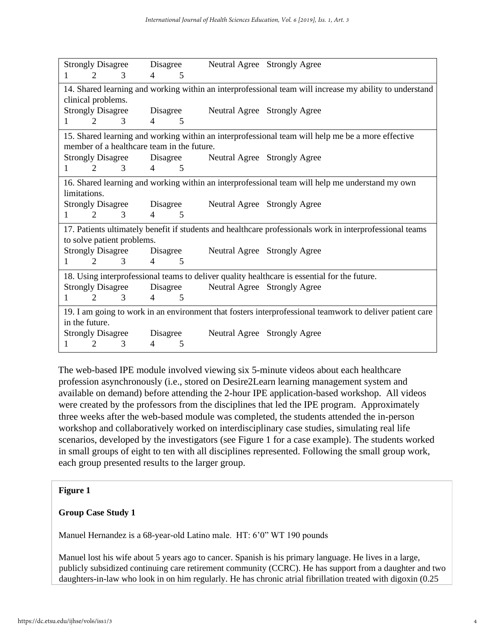|                                                                                                          | <b>Strongly Disagree</b>                                                                     |                                            | Disagree                 |   |                              | Neutral Agree Strongly Agree                                                                            |  |  |
|----------------------------------------------------------------------------------------------------------|----------------------------------------------------------------------------------------------|--------------------------------------------|--------------------------|---|------------------------------|---------------------------------------------------------------------------------------------------------|--|--|
|                                                                                                          | $\mathfrak{D}$                                                                               | 3                                          | $\overline{\mathcal{A}}$ | 5 |                              |                                                                                                         |  |  |
|                                                                                                          |                                                                                              |                                            |                          |   |                              | 14. Shared learning and working within an interprofessional team will increase my ability to understand |  |  |
|                                                                                                          | clinical problems.                                                                           |                                            |                          |   |                              |                                                                                                         |  |  |
|                                                                                                          | <b>Strongly Disagree</b>                                                                     |                                            | Disagree                 |   |                              | Neutral Agree Strongly Agree                                                                            |  |  |
|                                                                                                          | $\mathcal{D}_{\mathcal{L}}$                                                                  | 3                                          | $\overline{4}$           | 5 |                              |                                                                                                         |  |  |
|                                                                                                          |                                                                                              |                                            |                          |   |                              | 15. Shared learning and working within an interprofessional team will help me be a more effective       |  |  |
|                                                                                                          |                                                                                              | member of a healthcare team in the future. |                          |   |                              |                                                                                                         |  |  |
|                                                                                                          | <b>Strongly Disagree</b>                                                                     |                                            | Disagree                 |   | Neutral Agree Strongly Agree |                                                                                                         |  |  |
|                                                                                                          | $\mathcal{D}_{\mathcal{L}}$                                                                  | 3                                          | $\overline{4}$           | 5 |                              |                                                                                                         |  |  |
|                                                                                                          |                                                                                              |                                            |                          |   |                              | 16. Shared learning and working within an interprofessional team will help me understand my own         |  |  |
|                                                                                                          | limitations.                                                                                 |                                            |                          |   |                              |                                                                                                         |  |  |
|                                                                                                          | <b>Strongly Disagree</b>                                                                     |                                            | Disagree                 |   |                              | Neutral Agree Strongly Agree                                                                            |  |  |
|                                                                                                          | $\mathfrak{D}$                                                                               | 3                                          | $\Delta$                 | 5 |                              |                                                                                                         |  |  |
| 17. Patients ultimately benefit if students and healthcare professionals work in interprofessional teams |                                                                                              |                                            |                          |   |                              |                                                                                                         |  |  |
|                                                                                                          |                                                                                              | to solve patient problems.                 |                          |   |                              |                                                                                                         |  |  |
|                                                                                                          | <b>Strongly Disagree</b>                                                                     |                                            | Disagree                 |   |                              | Neutral Agree Strongly Agree                                                                            |  |  |
|                                                                                                          | $\mathfrak{D}$                                                                               | 3                                          | $\overline{4}$           | 5 |                              |                                                                                                         |  |  |
|                                                                                                          | 18. Using interprofessional teams to deliver quality healthcare is essential for the future. |                                            |                          |   |                              |                                                                                                         |  |  |
|                                                                                                          | <b>Strongly Disagree</b>                                                                     |                                            | Disagree                 |   |                              | Neutral Agree Strongly Agree                                                                            |  |  |
|                                                                                                          | $\overline{2}$                                                                               | 3                                          | $\overline{4}$           | 5 |                              |                                                                                                         |  |  |
| 19. I am going to work in an environment that fosters interprofessional teamwork to deliver patient care |                                                                                              |                                            |                          |   |                              |                                                                                                         |  |  |
|                                                                                                          | in the future.                                                                               |                                            |                          |   |                              |                                                                                                         |  |  |
|                                                                                                          | <b>Strongly Disagree</b>                                                                     |                                            | Disagree                 |   |                              | Neutral Agree Strongly Agree                                                                            |  |  |
|                                                                                                          | 2                                                                                            | 3                                          | 4                        | 5 |                              |                                                                                                         |  |  |

The web-based IPE module involved viewing six 5-minute videos about each healthcare profession asynchronously (i.e., stored on Desire2Learn learning management system and available on demand) before attending the 2-hour IPE application-based workshop.All videos were created by the professors from the disciplines that led the IPE program. Approximately three weeks after the web-based module was completed, the students attended the in-person workshop and collaboratively worked on interdisciplinary case studies, simulating real life scenarios, developed by the investigators (see Figure 1 for a case example). The students worked in small groups of eight to ten with all disciplines represented. Following the small group work, each group presented results to the larger group.

#### **Figure 1**

#### **Group Case Study 1**

Manuel Hernandez is a 68-year-old Latino male. HT: 6'0" WT 190 pounds

Manuel lost his wife about 5 years ago to cancer. Spanish is his primary language. He lives in a large, publicly subsidized continuing care retirement community (CCRC). He has support from a daughter and two daughters-in-law who look in on him regularly. He has chronic atrial fibrillation treated with digoxin (0.25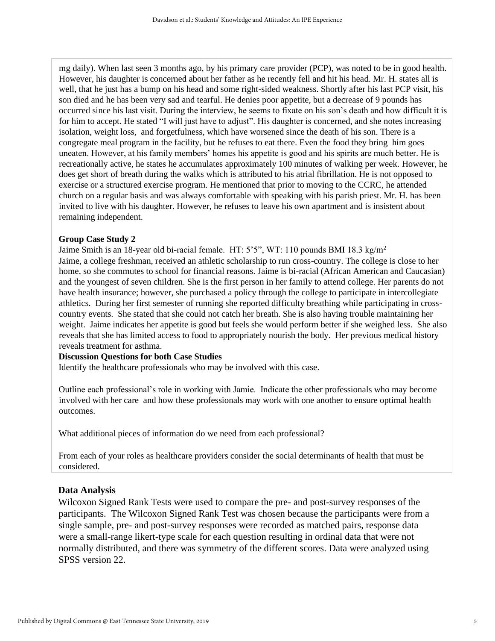mg daily). When last seen 3 months ago, by his primary care provider (PCP), was noted to be in good health. However, his daughter is concerned about her father as he recently fell and hit his head. Mr. H. states all is well, that he just has a bump on his head and some right-sided weakness. Shortly after his last PCP visit, his son died and he has been very sad and tearful. He denies poor appetite, but a decrease of 9 pounds has occurred since his last visit. During the interview, he seems to fixate on his son's death and how difficult it is for him to accept. He stated "I will just have to adjust". His daughter is concerned, and she notes increasing isolation, weight loss, and forgetfulness, which have worsened since the death of his son. There is a congregate meal program in the facility, but he refuses to eat there. Even the food they bring him goes uneaten. However, at his family members' homes his appetite is good and his spirits are much better. He is recreationally active, he states he accumulates approximately 100 minutes of walking per week. However, he does get short of breath during the walks which is attributed to his atrial fibrillation. He is not opposed to exercise or a structured exercise program. He mentioned that prior to moving to the CCRC, he attended church on a regular basis and was always comfortable with speaking with his parish priest. Mr. H. has been invited to live with his daughter. However, he refuses to leave his own apartment and is insistent about remaining independent.

#### **Group Case Study 2**

Jaime Smith is an 18-year old bi-racial female. HT: 5'5", WT: 110 pounds BMI 18.3 kg/m<sup>2</sup> Jaime, a college freshman, received an athletic scholarship to run cross-country. The college is close to her home, so she commutes to school for financial reasons. Jaime is bi-racial (African American and Caucasian) and the youngest of seven children. She is the first person in her family to attend college. Her parents do not have health insurance; however, she purchased a policy through the college to participate in intercollegiate athletics. During her first semester of running she reported difficulty breathing while participating in crosscountry events. She stated that she could not catch her breath. She is also having trouble maintaining her weight. Jaime indicates her appetite is good but feels she would perform better if she weighed less. She also reveals that she has limited access to food to appropriately nourish the body. Her previous medical history reveals treatment for asthma.

#### **Discussion Questions for both Case Studies**

Identify the healthcare professionals who may be involved with this case.

Outline each professional's role in working with Jamie. Indicate the other professionals who may become involved with her care and how these professionals may work with one another to ensure optimal health outcomes.

What additional pieces of information do we need from each professional?

From each of your roles as healthcare providers consider the social determinants of health that must be considered.

#### **Data Analysis**

Wilcoxon Signed Rank Tests were used to compare the pre- and post-survey responses of the participants. The Wilcoxon Signed Rank Test was chosen because the participants were from a single sample, pre- and post-survey responses were recorded as matched pairs, response data were a small-range likert-type scale for each question resulting in ordinal data that were not normally distributed, and there was symmetry of the different scores. Data were analyzed using SPSS version 22.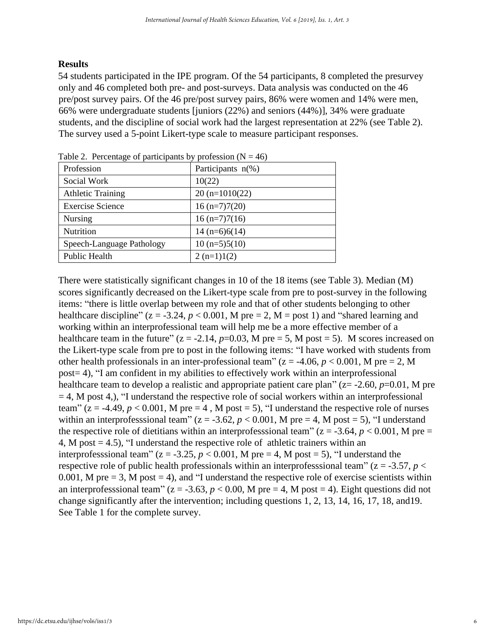#### **Results**

54 students participated in the IPE program. Of the 54 participants, 8 completed the presurvey only and 46 completed both pre- and post-surveys. Data analysis was conducted on the 46 pre/post survey pairs. Of the 46 pre/post survey pairs, 86% were women and 14% were men, 66% were undergraduate students [juniors (22%) and seniors (44%)], 34% were graduate students, and the discipline of social work had the largest representation at 22% (see Table 2). The survey used a 5-point Likert-type scale to measure participant responses.

| Profession                | Participants $n$ <sup>(%)</sup> |
|---------------------------|---------------------------------|
| Social Work               | 10(22)                          |
| <b>Athletic Training</b>  | $20(n=1010(22))$                |
| <b>Exercise Science</b>   | $16 (n=7)7(20)$                 |
| Nursing                   | $16 (n=7)7(16)$                 |
| Nutrition                 | $14(n=6)6(14)$                  |
| Speech-Language Pathology | $10 (n=5)5(10)$                 |
| Public Health             | $2(n=1)1(2)$                    |

Table 2. Percentage of participants by profession  $(N - 46)$ 

There were statistically significant changes in 10 of the 18 items (see Table 3). Median (M) scores significantly decreased on the Likert-type scale from pre to post-survey in the following items: "there is little overlap between my role and that of other students belonging to other healthcare discipline"  $(z = -3.24, p < 0.001, M$  pre  $= 2, M =$  post 1) and "shared learning and working within an interprofessional team will help me be a more effective member of a healthcare team in the future"  $(z = -2.14, p=0.03, M$  pre  $= 5, M$  post  $= 5$ ). M scores increased on the Likert-type scale from pre to post in the following items: "I have worked with students from other health professionals in an inter-professional team" ( $z = -4.06$ ,  $p < 0.001$ , M pre = 2, M post= 4), "I am confident in my abilities to effectively work within an interprofessional healthcare team to develop a realistic and appropriate patient care plan" (z= -2.60, *p*=0.01, M pre  $= 4$ , M post 4,), "I understand the respective role of social workers within an interprofessional team" ( $z = -4.49$ ,  $p < 0.001$ , M pre = 4, M post = 5), "I understand the respective role of nurses within an interprofesssional team" ( $z = -3.62$ ,  $p < 0.001$ , M pre = 4, M post = 5), "I understand the respective role of dietitians within an interprofesssional team" ( $z = -3.64$ ,  $p < 0.001$ , M pre 4, M post = 4.5), "I understand the respective role of athletic trainers within an interprofesssional team" ( $z = -3.25$ ,  $p < 0.001$ , M pre = 4, M post = 5), "I understand the respective role of public health professionals within an interprofessional team" ( $z = -3.57$ ,  $p <$ 0.001, M pre  $= 3$ , M post  $= 4$ ), and "I understand the respective role of exercise scientists within an interprofesssional team" ( $z = -3.63$ ,  $p < 0.00$ , M pre = 4, M post = 4). Eight questions did not change significantly after the intervention; including questions 1, 2, 13, 14, 16, 17, 18, and19. See Table 1 for the complete survey.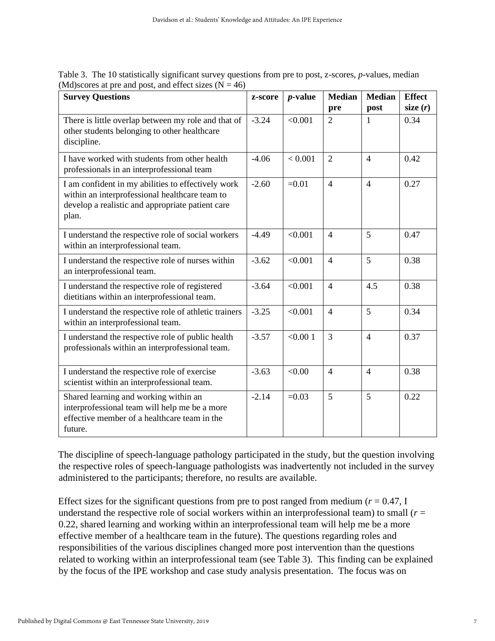| Table 3. The 10 statistically significant survey questions from pre to post, z-scores, p-values, median |  |  |  |  |  |
|---------------------------------------------------------------------------------------------------------|--|--|--|--|--|
| (Md) scores at pre and post, and effect sizes $(N = 46)$                                                |  |  |  |  |  |

| <b>Survey Questions</b>                                                                                                                                           | z-score | $p$ -value | <b>Median</b><br>pre | <b>Median</b><br>post | <b>Effect</b><br>size $(r)$ |
|-------------------------------------------------------------------------------------------------------------------------------------------------------------------|---------|------------|----------------------|-----------------------|-----------------------------|
| There is little overlap between my role and that of<br>other students belonging to other healthcare<br>discipline.                                                | $-3.24$ | < 0.001    | $\overline{2}$       | 1                     | 0.34                        |
| I have worked with students from other health<br>professionals in an interprofessional team                                                                       | $-4.06$ | < 0.001    | $\overline{2}$       | $\overline{4}$        | 0.42                        |
| I am confident in my abilities to effectively work<br>within an interprofessional healthcare team to<br>develop a realistic and appropriate patient care<br>plan. | $-2.60$ | $=0.01$    | $\overline{4}$       | $\overline{4}$        | 0.27                        |
| I understand the respective role of social workers<br>within an interprofessional team.                                                                           | $-4.49$ | < 0.001    | $\overline{4}$       | 5                     | 0.47                        |
| I understand the respective role of nurses within<br>an interprofessional team.                                                                                   | $-3.62$ | < 0.001    | $\overline{4}$       | 5                     | 0.38                        |
| I understand the respective role of registered<br>dietitians within an interprofessional team.                                                                    | $-3.64$ | < 0.001    | $\overline{4}$       | 4.5                   | 0.38                        |
| I understand the respective role of athletic trainers<br>within an interprofessional team.                                                                        | $-3.25$ | < 0.001    | $\overline{4}$       | 5                     | 0.34                        |
| I understand the respective role of public health<br>professionals within an interprofessional team.                                                              | $-3.57$ | < 0.001    | $\overline{3}$       | $\overline{4}$        | 0.37                        |
| I understand the respective role of exercise<br>scientist within an interprofessional team.                                                                       | $-3.63$ | < 0.00     | $\overline{4}$       | $\overline{4}$        | 0.38                        |
| Shared learning and working within an<br>interprofessional team will help me be a more<br>effective member of a healthcare team in the<br>future.                 | $-2.14$ | $=0.03$    | 5                    | 5                     | 0.22                        |

The discipline of speech-language pathology participated in the study, but the question involving the respective roles of speech-language pathologists was inadvertently not included in the survey administered to the participants; therefore, no results are available.

Effect sizes for the significant questions from pre to post ranged from medium ( $r = 0.47$ , I understand the respective role of social workers within an interprofessional team) to small  $(r =$ 0.22, shared learning and working within an interprofessional team will help me be a more effective member of a healthcare team in the future). The questions regarding roles and responsibilities of the various disciplines changed more post intervention than the questions related to working within an interprofessional team (see Table 3). This finding can be explained by the focus of the IPE workshop and case study analysis presentation. The focus was on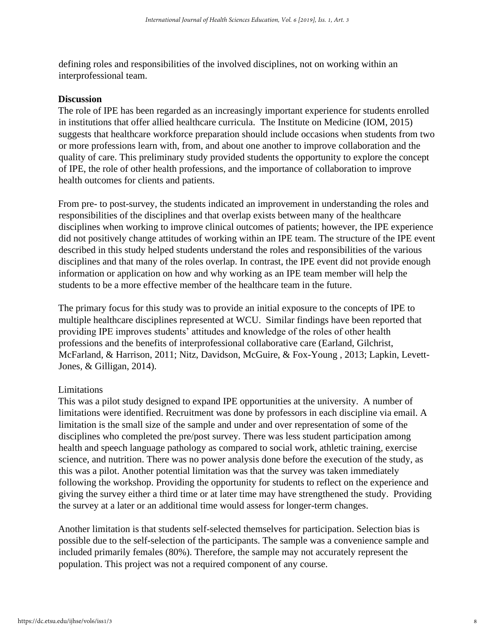defining roles and responsibilities of the involved disciplines, not on working within an interprofessional team.

#### **Discussion**

The role of IPE has been regarded as an increasingly important experience for students enrolled in institutions that offer allied healthcare curricula. The Institute on Medicine (IOM, 2015) suggests that healthcare workforce preparation should include occasions when students from two or more professions learn with, from, and about one another to improve collaboration and the quality of care. This preliminary study provided students the opportunity to explore the concept of IPE, the role of other health professions, and the importance of collaboration to improve health outcomes for clients and patients.

From pre- to post-survey, the students indicated an improvement in understanding the roles and responsibilities of the disciplines and that overlap exists between many of the healthcare disciplines when working to improve clinical outcomes of patients; however, the IPE experience did not positively change attitudes of working within an IPE team. The structure of the IPE event described in this study helped students understand the roles and responsibilities of the various disciplines and that many of the roles overlap. In contrast, the IPE event did not provide enough information or application on how and why working as an IPE team member will help the students to be a more effective member of the healthcare team in the future.

The primary focus for this study was to provide an initial exposure to the concepts of IPE to multiple healthcare disciplines represented at WCU. Similar findings have been reported that providing IPE improves students' attitudes and knowledge of the roles of other health professions and the benefits of interprofessional collaborative care (Earland, Gilchrist, McFarland, & Harrison, 2011; Nitz, Davidson, McGuire, & Fox-Young , 2013; Lapkin, Levett-Jones, & Gilligan, 2014).

#### Limitations

This was a pilot study designed to expand IPE opportunities at the university. A number of limitations were identified. Recruitment was done by professors in each discipline via email. A limitation is the small size of the sample and under and over representation of some of the disciplines who completed the pre/post survey. There was less student participation among health and speech language pathology as compared to social work, athletic training, exercise science, and nutrition. There was no power analysis done before the execution of the study, as this was a pilot. Another potential limitation was that the survey was taken immediately following the workshop. Providing the opportunity for students to reflect on the experience and giving the survey either a third time or at later time may have strengthened the study. Providing the survey at a later or an additional time would assess for longer-term changes.

Another limitation is that students self-selected themselves for participation. Selection bias is possible due to the self-selection of the participants. The sample was a convenience sample and included primarily females (80%). Therefore, the sample may not accurately represent the population. This project was not a required component of any course.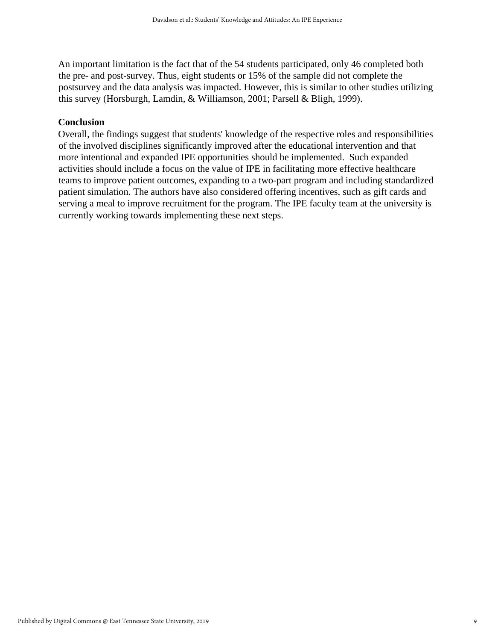An important limitation is the fact that of the 54 students participated, only 46 completed both the pre- and post-survey. Thus, eight students or 15% of the sample did not complete the postsurvey and the data analysis was impacted. However, this is similar to other studies utilizing this survey (Horsburgh, Lamdin, & Williamson, 2001; Parsell & Bligh, 1999).

#### **Conclusion**

Overall, the findings suggest that students' knowledge of the respective roles and responsibilities of the involved disciplines significantly improved after the educational intervention and that more intentional and expanded IPE opportunities should be implemented. Such expanded activities should include a focus on the value of IPE in facilitating more effective healthcare teams to improve patient outcomes, expanding to a two-part program and including standardized patient simulation. The authors have also considered offering incentives, such as gift cards and serving a meal to improve recruitment for the program. The IPE faculty team at the university is currently working towards implementing these next steps.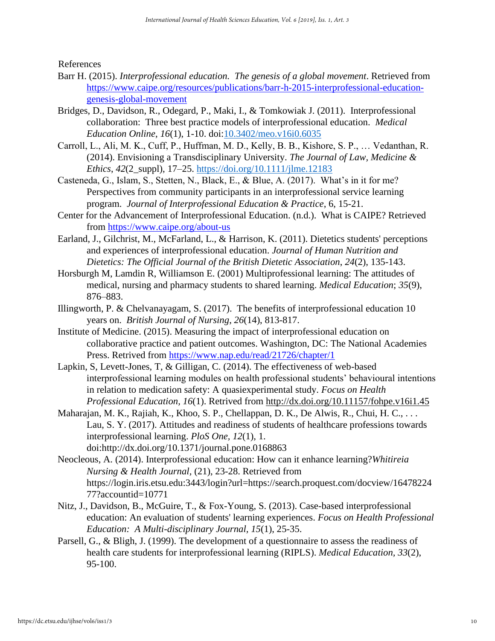References

- Barr H. (2015). *Interprofessional education. The genesis of a global movement*. Retrieved from [https://www.caipe.org/resources/publications/barr-h-2015-interprofessional-education](https://www.caipe.org/resources/publications/barr-h-2015-interprofessional-education-genesis-global-movement)[genesis-global-movement](https://www.caipe.org/resources/publications/barr-h-2015-interprofessional-education-genesis-global-movement)
- Bridges, D., Davidson, R., Odegard, P., Maki, I., & Tomkowiak J. (2011). Interprofessional collaboration: Three best practice models of interprofessional education. *Medical Education Online*, *16*(1), 1-10. doi[:10.3402/meo.v16i0.6035](https://dx.doi.org/10.3402%2Fmeo.v16i0.6035)
- Carroll, L., Ali, M. K., Cuff, P., Huffman, M. D., Kelly, B. B., Kishore, S. P., … Vedanthan, R. (2014). Envisioning a Transdisciplinary University. *The Journal of Law, Medicine & Ethics*, *42*(2\_suppl), 17–25. <https://doi.org/10.1111/jlme.12183>
- Casteneda, G., Islam, S., Stetten, N., Black, E., & Blue, A. (2017). What's in it for me? Perspectives from community participants in an interprofessional service learning program. *Journal of Interprofessional Education & Practice*, 6, 15-21.
- Center for the Advancement of Interprofessional Education. (n.d.). What is CAIPE? Retrieved from<https://www.caipe.org/about-us>
- Earland, J., Gilchrist, M., McFarland, L., & Harrison, K. (2011). Dietetics students' perceptions and experiences of interprofessional education. *Journal of Human Nutrition and Dietetics: The Official Journal of the British Dietetic Association*, *24*(2), 135-143.
- Horsburgh M, Lamdin R, Williamson E. (2001) Multiprofessional learning: The attitudes of medical, nursing and pharmacy students to shared learning. *Medical Education*; *35*(9), 876–883.
- Illingworth, P. & Chelvanayagam, S. (2017). The benefits of interprofessional education 10 years on. *British Journal of Nursing*, *26*(14), 813-817.
- Institute of Medicine. (2015). Measuring the impact of interprofessional education on collaborative practice and patient outcomes. Washington, DC: The National Academies Press. Retrived from<https://www.nap.edu/read/21726/chapter/1>
- Lapkin, S, Levett-Jones, T, & Gilligan, C. (2014). The effectiveness of web-based interprofessional learning modules on health professional students' behavioural intentions in relation to medication safety: A quasiexperimental study. *Focus on Health Professional Education, 16*(1). Retrived from <http://dx.doi.org/10.11157/fohpe.v16i1.45>
- Maharajan, M. K., Rajiah, K., Khoo, S. P., Chellappan, D. K., De Alwis, R., Chui, H. C., ... Lau, S. Y. (2017). Attitudes and readiness of students of healthcare professions towards interprofessional learning. *PloS One, 12*(1), 1. doi:http://dx.doi.org/10.1371/journal.pone.0168863
- Neocleous, A. (2014). Interprofessional education: How can it enhance learning?*Whitireia Nursing & Health Journal,* (21), 23-28. Retrieved from https://login.iris.etsu.edu:3443/login?url=https://search.proquest.com/docview/16478224 77?accountid=10771
- Nitz, J., Davidson, B., McGuire, T., & Fox-Young, S. (2013). Case-based interprofessional education: An evaluation of students' learning experiences. *Focus on Health Professional Education: A Multi-disciplinary Journal, 15*(1), 25-35.
- Parsell, G., & Bligh, J. (1999). The development of a questionnaire to assess the readiness of health care students for interprofessional learning (RIPLS). *Medical Education, 33*(2), 95-100.